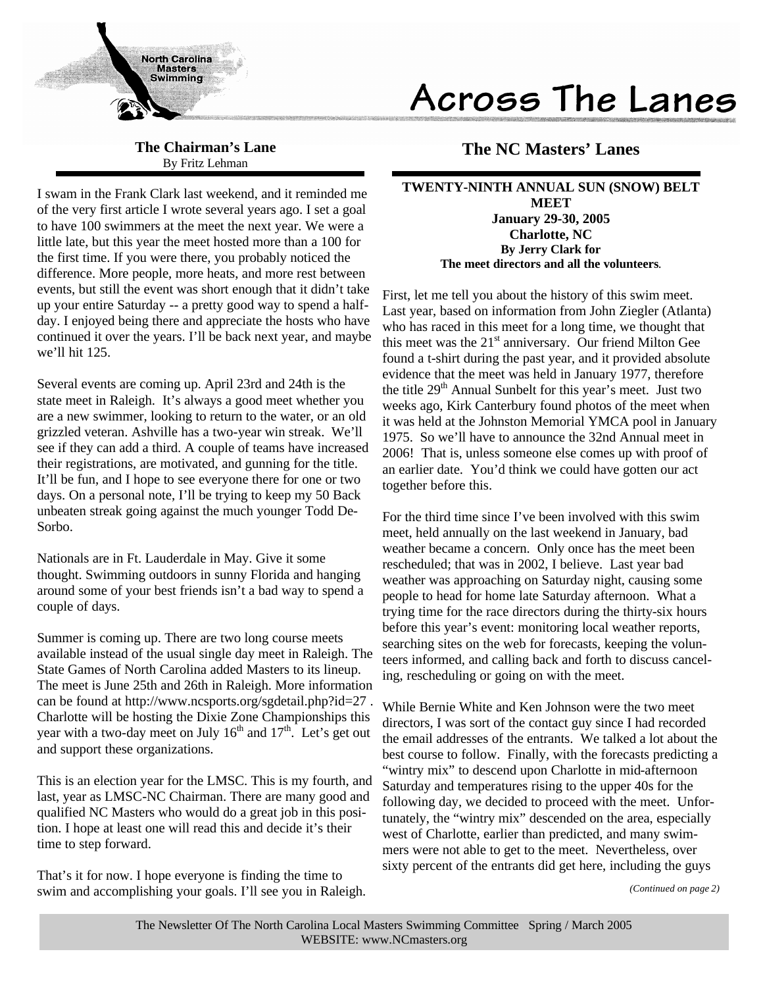

# Across The Lanes

**The Chairman's Lane** By Fritz Lehman

I swam in the Frank Clark last weekend, and it reminded me of the very first article I wrote several years ago. I set a goal to have 100 swimmers at the meet the next year. We were a little late, but this year the meet hosted more than a 100 for the first time. If you were there, you probably noticed the difference. More people, more heats, and more rest between events, but still the event was short enough that it didn't take up your entire Saturday -- a pretty good way to spend a halfday. I enjoyed being there and appreciate the hosts who have continued it over the years. I'll be back next year, and maybe we'll hit 125.

Several events are coming up. April 23rd and 24th is the state meet in Raleigh. It's always a good meet whether you are a new swimmer, looking to return to the water, or an old grizzled veteran. Ashville has a two-year win streak. We'll see if they can add a third. A couple of teams have increased their registrations, are motivated, and gunning for the title. It'll be fun, and I hope to see everyone there for one or two days. On a personal note, I'll be trying to keep my 50 Back unbeaten streak going against the much younger Todd De-Sorbo.

Nationals are in Ft. Lauderdale in May. Give it some thought. Swimming outdoors in sunny Florida and hanging around some of your best friends isn't a bad way to spend a couple of days.

Summer is coming up. There are two long course meets available instead of the usual single day meet in Raleigh. The State Games of North Carolina added Masters to its lineup. The meet is June 25th and 26th in Raleigh. More information can be found at http://www.ncsports.org/sgdetail.php?id=27 . Charlotte will be hosting the Dixie Zone Championships this year with a two-day meet on July  $16<sup>th</sup>$  and  $17<sup>th</sup>$ . Let's get out and support these organizations.

This is an election year for the LMSC. This is my fourth, and last, year as LMSC-NC Chairman. There are many good and qualified NC Masters who would do a great job in this position. I hope at least one will read this and decide it's their time to step forward.

That's it for now. I hope everyone is finding the time to swim and accomplishing your goals. I'll see you in Raleigh.

## **The NC Masters' Lanes**

**TWENTY-NINTH ANNUAL SUN (SNOW) BELT MEET January 29-30, 2005 Charlotte, NC By Jerry Clark for The meet directors and all the volunteers**.

First, let me tell you about the history of this swim meet. Last year, based on information from John Ziegler (Atlanta) who has raced in this meet for a long time, we thought that this meet was the 21<sup>st</sup> anniversary. Our friend Milton Gee found a t-shirt during the past year, and it provided absolute evidence that the meet was held in January 1977, therefore the title  $29<sup>th</sup>$  Annual Sunbelt for this year's meet. Just two weeks ago, Kirk Canterbury found photos of the meet when it was held at the Johnston Memorial YMCA pool in January 1975. So we'll have to announce the 32nd Annual meet in 2006! That is, unless someone else comes up with proof of an earlier date. You'd think we could have gotten our act together before this.

For the third time since I've been involved with this swim meet, held annually on the last weekend in January, bad weather became a concern. Only once has the meet been rescheduled; that was in 2002, I believe. Last year bad weather was approaching on Saturday night, causing some people to head for home late Saturday afternoon. What a trying time for the race directors during the thirty-six hours before this year's event: monitoring local weather reports, searching sites on the web for forecasts, keeping the volunteers informed, and calling back and forth to discuss canceling, rescheduling or going on with the meet.

While Bernie White and Ken Johnson were the two meet directors, I was sort of the contact guy since I had recorded the email addresses of the entrants. We talked a lot about the best course to follow. Finally, with the forecasts predicting a "wintry mix" to descend upon Charlotte in mid-afternoon Saturday and temperatures rising to the upper 40s for the following day, we decided to proceed with the meet. Unfortunately, the "wintry mix" descended on the area, especially west of Charlotte, earlier than predicted, and many swimmers were not able to get to the meet. Nevertheless, over sixty percent of the entrants did get here, including the guys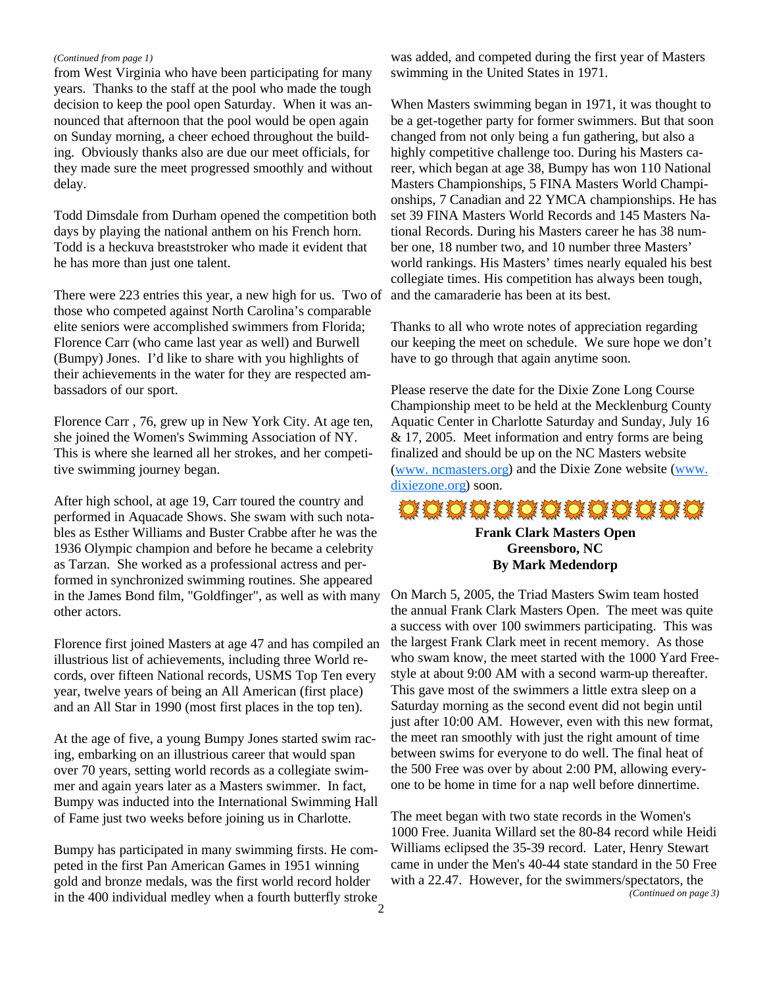### *(Continued from page 1)*

from West Virginia who have been participating for many years. Thanks to the staff at the pool who made the tough decision to keep the pool open Saturday. When it was announced that afternoon that the pool would be open again on Sunday morning, a cheer echoed throughout the building. Obviously thanks also are due our meet officials, for they made sure the meet progressed smoothly and without delay.

Todd Dimsdale from Durham opened the competition both days by playing the national anthem on his French horn. Todd is a heckuva breaststroker who made it evident that he has more than just one talent.

There were 223 entries this year, a new high for us. Two of those who competed against North Carolina's comparable elite seniors were accomplished swimmers from Florida; Florence Carr (who came last year as well) and Burwell (Bumpy) Jones. I'd like to share with you highlights of their achievements in the water for they are respected ambassadors of our sport.

Florence Carr , 76, grew up in New York City. At age ten, she joined the Women's Swimming Association of NY. This is where she learned all her strokes, and her competitive swimming journey began.

After high school, at age 19, Carr toured the country and performed in Aquacade Shows. She swam with such notables as Esther Williams and Buster Crabbe after he was the 1936 Olympic champion and before he became a celebrity as Tarzan. She worked as a professional actress and performed in synchronized swimming routines. She appeared in the James Bond film, "Goldfinger", as well as with many other actors.

Florence first joined Masters at age 47 and has compiled an illustrious list of achievements, including three World records, over fifteen National records, USMS Top Ten every year, twelve years of being an All American (first place) and an All Star in 1990 (most first places in the top ten).

At the age of five, a young Bumpy Jones started swim racing, embarking on an illustrious career that would span over 70 years, setting world records as a collegiate swimmer and again years later as a Masters swimmer. In fact, Bumpy was inducted into the International Swimming Hall of Fame just two weeks before joining us in Charlotte.

Bumpy has participated in many swimming firsts. He competed in the first Pan American Games in 1951 winning gold and bronze medals, was the first world record holder in the 400 individual medley when a fourth butterfly stroke was added, and competed during the first year of Masters swimming in the United States in 1971.

When Masters swimming began in 1971, it was thought to be a get-together party for former swimmers. But that soon changed from not only being a fun gathering, but also a highly competitive challenge too. During his Masters career, which began at age 38, Bumpy has won 110 National Masters Championships, 5 FINA Masters World Championships, 7 Canadian and 22 YMCA championships. He has set 39 FINA Masters World Records and 145 Masters National Records. During his Masters career he has 38 number one, 18 number two, and 10 number three Masters' world rankings. His Masters' times nearly equaled his best collegiate times. His competition has always been tough, and the camaraderie has been at its best.

Thanks to all who wrote notes of appreciation regarding our keeping the meet on schedule. We sure hope we don't have to go through that again anytime soon.

Please reserve the date for the Dixie Zone Long Course Championship meet to be held at the Mecklenburg County Aquatic Center in Charlotte Saturday and Sunday, July 16 & 17, 2005. Meet information and entry forms are being finalized and should be up on the NC Masters website (www. ncmasters.org) and the Dixie Zone website (www. dixiezone.org) soon.

# \*\*\*\*\*\*\*\*\*\*\*\*\*

**Frank Clark Masters Open Greensboro, NC By Mark Medendorp**

On March 5, 2005, the Triad Masters Swim team hosted the annual Frank Clark Masters Open. The meet was quite a success with over 100 swimmers participating. This was the largest Frank Clark meet in recent memory. As those who swam know, the meet started with the 1000 Yard Freestyle at about 9:00 AM with a second warm-up thereafter. This gave most of the swimmers a little extra sleep on a Saturday morning as the second event did not begin until just after 10:00 AM. However, even with this new format, the meet ran smoothly with just the right amount of time between swims for everyone to do well. The final heat of the 500 Free was over by about 2:00 PM, allowing everyone to be home in time for a nap well before dinnertime.

The meet began with two state records in the Women's 1000 Free. Juanita Willard set the 80-84 record while Heidi Williams eclipsed the 35-39 record. Later, Henry Stewart came in under the Men's 40-44 state standard in the 50 Free with a 22.47. However, for the swimmers/spectators, the *(Continued on page 3)*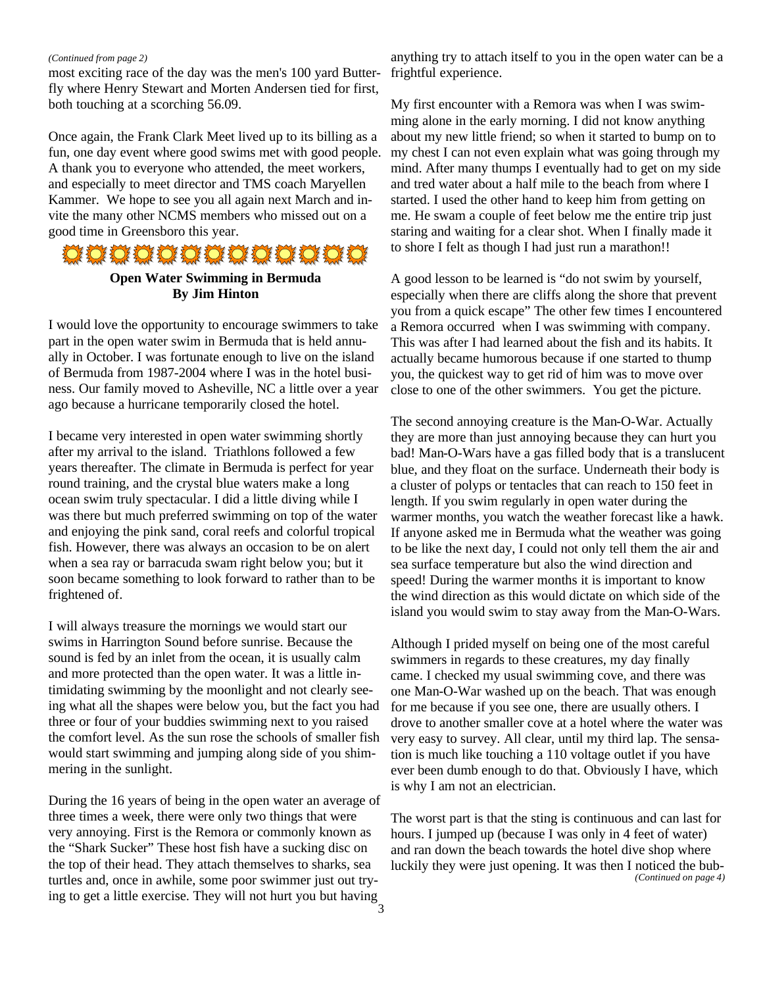#### *(Continued from page 2)*

most exciting race of the day was the men's 100 yard Butterfly where Henry Stewart and Morten Andersen tied for first, both touching at a scorching 56.09.

Once again, the Frank Clark Meet lived up to its billing as a fun, one day event where good swims met with good people. A thank you to everyone who attended, the meet workers, and especially to meet director and TMS coach Maryellen Kammer. We hope to see you all again next March and invite the many other NCMS members who missed out on a good time in Greensboro this year.

## \*\*\*\*\*\*\*\*\*\*\*\*\*

## **Open Water Swimming in Bermuda By Jim Hinton**

I would love the opportunity to encourage swimmers to take part in the open water swim in Bermuda that is held annually in October. I was fortunate enough to live on the island of Bermuda from 1987-2004 where I was in the hotel business. Our family moved to Asheville, NC a little over a year ago because a hurricane temporarily closed the hotel.

I became very interested in open water swimming shortly after my arrival to the island. Triathlons followed a few years thereafter. The climate in Bermuda is perfect for year round training, and the crystal blue waters make a long ocean swim truly spectacular. I did a little diving while I was there but much preferred swimming on top of the water and enjoying the pink sand, coral reefs and colorful tropical fish. However, there was always an occasion to be on alert when a sea ray or barracuda swam right below you; but it soon became something to look forward to rather than to be frightened of.

I will always treasure the mornings we would start our swims in Harrington Sound before sunrise. Because the sound is fed by an inlet from the ocean, it is usually calm and more protected than the open water. It was a little intimidating swimming by the moonlight and not clearly seeing what all the shapes were below you, but the fact you had three or four of your buddies swimming next to you raised the comfort level. As the sun rose the schools of smaller fish would start swimming and jumping along side of you shimmering in the sunlight.

During the 16 years of being in the open water an average of three times a week, there were only two things that were very annoying. First is the Remora or commonly known as the "Shark Sucker" These host fish have a sucking disc on the top of their head. They attach themselves to sharks, sea turtles and, once in awhile, some poor swimmer just out trying to get a little exercise. They will not hurt you but having

anything try to attach itself to you in the open water can be a frightful experience.

My first encounter with a Remora was when I was swimming alone in the early morning. I did not know anything about my new little friend; so when it started to bump on to my chest I can not even explain what was going through my mind. After many thumps I eventually had to get on my side and tred water about a half mile to the beach from where I started. I used the other hand to keep him from getting on me. He swam a couple of feet below me the entire trip just staring and waiting for a clear shot. When I finally made it to shore I felt as though I had just run a marathon!!

A good lesson to be learned is "do not swim by yourself, especially when there are cliffs along the shore that prevent you from a quick escape" The other few times I encountered a Remora occurred when I was swimming with company. This was after I had learned about the fish and its habits. It actually became humorous because if one started to thump you, the quickest way to get rid of him was to move over close to one of the other swimmers. You get the picture.

The second annoying creature is the Man-O-War. Actually they are more than just annoying because they can hurt you bad! Man-O-Wars have a gas filled body that is a translucent blue, and they float on the surface. Underneath their body is a cluster of polyps or tentacles that can reach to 150 feet in length. If you swim regularly in open water during the warmer months, you watch the weather forecast like a hawk. If anyone asked me in Bermuda what the weather was going to be like the next day, I could not only tell them the air and sea surface temperature but also the wind direction and speed! During the warmer months it is important to know the wind direction as this would dictate on which side of the island you would swim to stay away from the Man-O-Wars.

Although I prided myself on being one of the most careful swimmers in regards to these creatures, my day finally came. I checked my usual swimming cove, and there was one Man-O-War washed up on the beach. That was enough for me because if you see one, there are usually others. I drove to another smaller cove at a hotel where the water was very easy to survey. All clear, until my third lap. The sensation is much like touching a 110 voltage outlet if you have ever been dumb enough to do that. Obviously I have, which is why I am not an electrician.

The worst part is that the sting is continuous and can last for hours. I jumped up (because I was only in 4 feet of water) and ran down the beach towards the hotel dive shop where luckily they were just opening. It was then I noticed the bub- *(Continued on page 4)*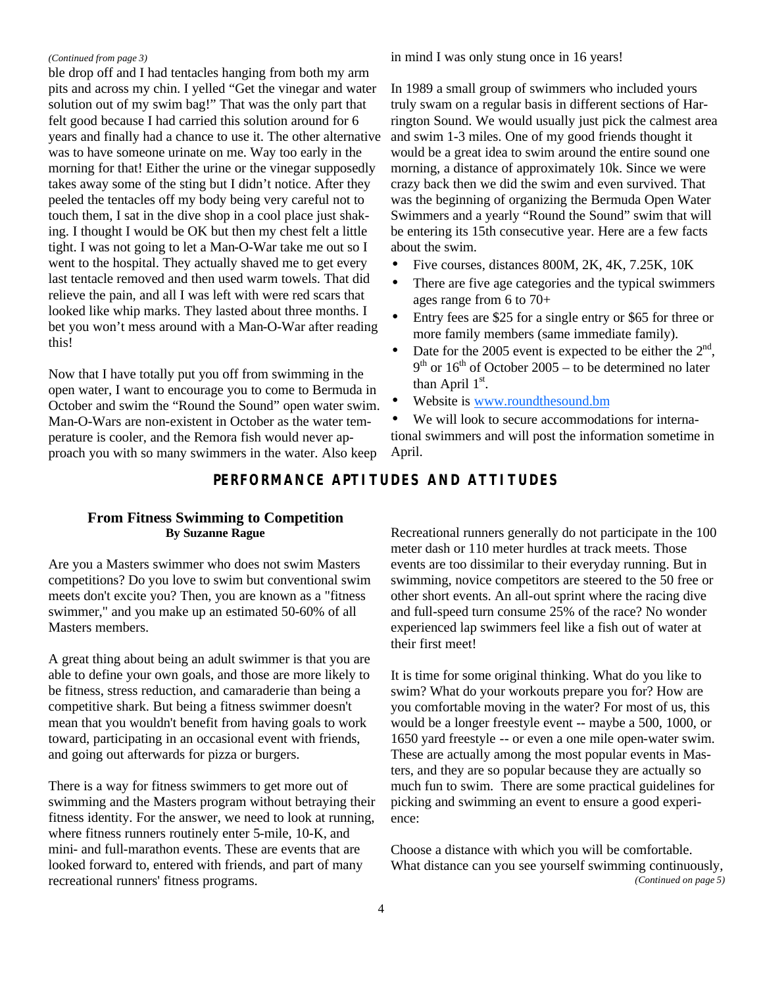#### *(Continued from page 3)*

ble drop off and I had tentacles hanging from both my arm pits and across my chin. I yelled "Get the vinegar and water solution out of my swim bag!" That was the only part that felt good because I had carried this solution around for 6 years and finally had a chance to use it. The other alternative was to have someone urinate on me. Way too early in the morning for that! Either the urine or the vinegar supposedly takes away some of the sting but I didn't notice. After they peeled the tentacles off my body being very careful not to touch them, I sat in the dive shop in a cool place just shaking. I thought I would be OK but then my chest felt a little tight. I was not going to let a Man-O-War take me out so I went to the hospital. They actually shaved me to get every last tentacle removed and then used warm towels. That did relieve the pain, and all I was left with were red scars that looked like whip marks. They lasted about three months. I bet you won't mess around with a Man-O-War after reading this!

Now that I have totally put you off from swimming in the open water, I want to encourage you to come to Bermuda in October and swim the "Round the Sound" open water swim. Man-O-Wars are non-existent in October as the water temperature is cooler, and the Remora fish would never approach you with so many swimmers in the water. Also keep

in mind I was only stung once in 16 years!

In 1989 a small group of swimmers who included yours truly swam on a regular basis in different sections of Harrington Sound. We would usually just pick the calmest area and swim 1-3 miles. One of my good friends thought it would be a great idea to swim around the entire sound one morning, a distance of approximately 10k. Since we were crazy back then we did the swim and even survived. That was the beginning of organizing the Bermuda Open Water Swimmers and a yearly "Round the Sound" swim that will be entering its 15th consecutive year. Here are a few facts about the swim.

- Five courses, distances 800M, 2K, 4K, 7.25K, 10K
- There are five age categories and the typical swimmers ages range from 6 to 70+
- Entry fees are \$25 for a single entry or \$65 for three or more family members (same immediate family).
- Date for the 2005 event is expected to be either the  $2<sup>nd</sup>$ ,  $9<sup>th</sup>$  or  $16<sup>th</sup>$  of October 2005 – to be determined no later than April  $1<sup>st</sup>$ .
- Website is www.roundthesound.bm

We will look to secure accommodations for international swimmers and will post the information sometime in April.

## **PERFORMANCE APTITUDES AND ATTITUDES**

### **From Fitness Swimming to Competition By Suzanne Rague**

Are you a Masters swimmer who does not swim Masters competitions? Do you love to swim but conventional swim meets don't excite you? Then, you are known as a "fitness swimmer," and you make up an estimated 50-60% of all Masters members.

A great thing about being an adult swimmer is that you are able to define your own goals, and those are more likely to be fitness, stress reduction, and camaraderie than being a competitive shark. But being a fitness swimmer doesn't mean that you wouldn't benefit from having goals to work toward, participating in an occasional event with friends, and going out afterwards for pizza or burgers.

There is a way for fitness swimmers to get more out of swimming and the Masters program without betraying their fitness identity. For the answer, we need to look at running, where fitness runners routinely enter 5-mile, 10-K, and mini- and full-marathon events. These are events that are looked forward to, entered with friends, and part of many recreational runners' fitness programs.

Recreational runners generally do not participate in the 100 meter dash or 110 meter hurdles at track meets. Those events are too dissimilar to their everyday running. But in swimming, novice competitors are steered to the 50 free or other short events. An all-out sprint where the racing dive and full-speed turn consume 25% of the race? No wonder experienced lap swimmers feel like a fish out of water at their first meet!

It is time for some original thinking. What do you like to swim? What do your workouts prepare you for? How are you comfortable moving in the water? For most of us, this would be a longer freestyle event -- maybe a 500, 1000, or 1650 yard freestyle -- or even a one mile open-water swim. These are actually among the most popular events in Masters, and they are so popular because they are actually so much fun to swim. There are some practical guidelines for picking and swimming an event to ensure a good experience:

Choose a distance with which you will be comfortable. What distance can you see yourself swimming continuously, *(Continued on page 5)*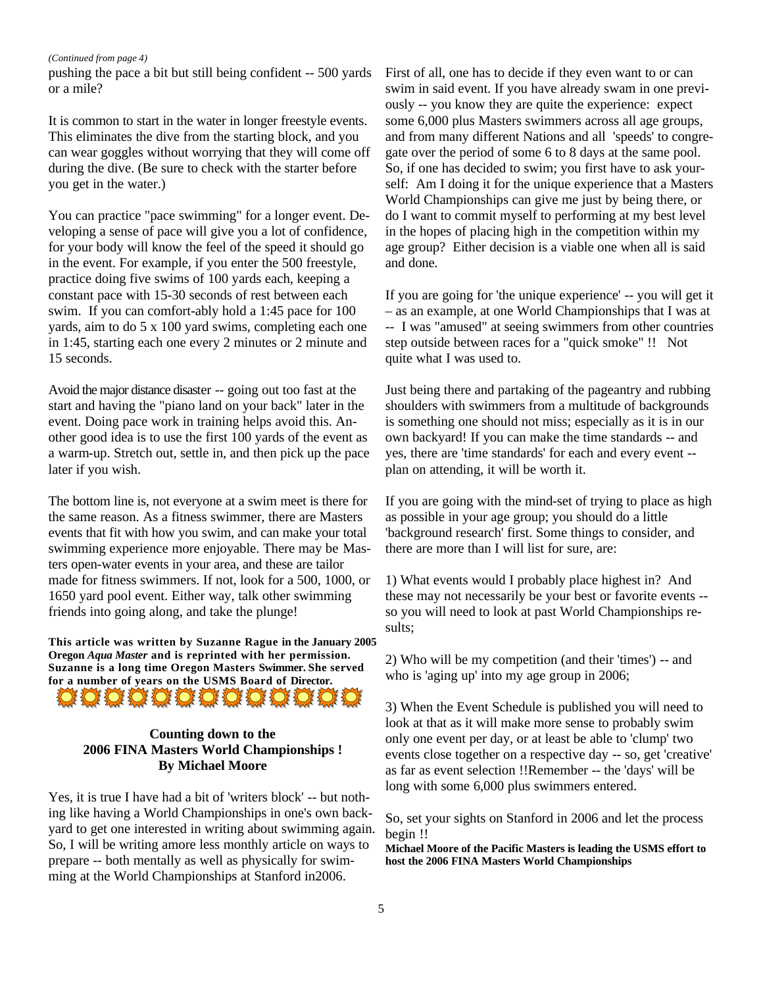#### *(Continued from page 4)*

pushing the pace a bit but still being confident -- 500 yards or a mile?

It is common to start in the water in longer freestyle events. This eliminates the dive from the starting block, and you can wear goggles without worrying that they will come off during the dive. (Be sure to check with the starter before you get in the water.)

You can practice "pace swimming" for a longer event. Developing a sense of pace will give you a lot of confidence, for your body will know the feel of the speed it should go in the event. For example, if you enter the 500 freestyle, practice doing five swims of 100 yards each, keeping a constant pace with 15-30 seconds of rest between each swim. If you can comfort-ably hold a 1:45 pace for 100 yards, aim to do 5 x 100 yard swims, completing each one in 1:45, starting each one every 2 minutes or 2 minute and 15 seconds.

Avoid the major distance disaster -- going out too fast at the start and having the "piano land on your back" later in the event. Doing pace work in training helps avoid this. Another good idea is to use the first 100 yards of the event as a warm-up. Stretch out, settle in, and then pick up the pace later if you wish.

The bottom line is, not everyone at a swim meet is there for the same reason. As a fitness swimmer, there are Masters events that fit with how you swim, and can make your total swimming experience more enjoyable. There may be Masters open-water events in your area, and these are tailor made for fitness swimmers. If not, look for a 500, 1000, or 1650 yard pool event. Either way, talk other swimming friends into going along, and take the plunge!

**This article was written by Suzanne Rague in the January 2005 Oregon** *Aqua Master* **and is reprinted with her permission. Suzanne is a long time Oregon Masters Swimmer. She served for a number of years on the USMS Board of Director. IO O O O O O O O O O O O** 

# **Counting down to the 2006 FINA Masters World Championships !**

**By Michael Moore**

Yes, it is true I have had a bit of 'writers block' -- but nothing like having a World Championships in one's own backyard to get one interested in writing about swimming again. So, I will be writing amore less monthly article on ways to prepare -- both mentally as well as physically for swimming at the World Championships at Stanford in2006.

First of all, one has to decide if they even want to or can swim in said event. If you have already swam in one previously -- you know they are quite the experience: expect some 6,000 plus Masters swimmers across all age groups, and from many different Nations and all 'speeds' to congregate over the period of some 6 to 8 days at the same pool. So, if one has decided to swim; you first have to ask yourself: Am I doing it for the unique experience that a Masters World Championships can give me just by being there, or do I want to commit myself to performing at my best level in the hopes of placing high in the competition within my age group? Either decision is a viable one when all is said and done.

If you are going for 'the unique experience' -- you will get it – as an example, at one World Championships that I was at -- I was "amused" at seeing swimmers from other countries step outside between races for a "quick smoke" !! Not quite what I was used to.

Just being there and partaking of the pageantry and rubbing shoulders with swimmers from a multitude of backgrounds is something one should not miss; especially as it is in our own backyard! If you can make the time standards -- and yes, there are 'time standards' for each and every event - plan on attending, it will be worth it.

If you are going with the mind-set of trying to place as high as possible in your age group; you should do a little 'background research' first. Some things to consider, and there are more than I will list for sure, are:

1) What events would I probably place highest in? And these may not necessarily be your best or favorite events - so you will need to look at past World Championships results;

2) Who will be my competition (and their 'times') -- and who is 'aging up' into my age group in 2006;

3) When the Event Schedule is published you will need to look at that as it will make more sense to probably swim only one event per day, or at least be able to 'clump' two events close together on a respective day -- so, get 'creative' as far as event selection !!Remember -- the 'days' will be long with some 6,000 plus swimmers entered.

So, set your sights on Stanford in 2006 and let the process begin !!

**Michael Moore of the Pacific Masters is leading the USMS effort to host the 2006 FINA Masters World Championships**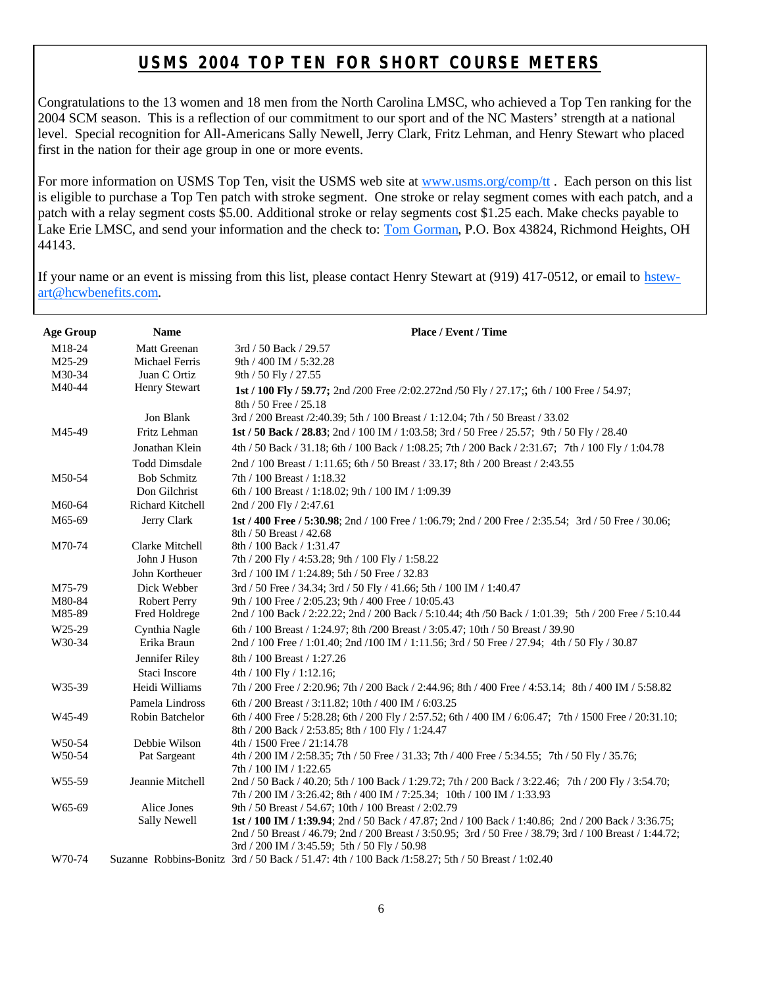## **USMS 2004 TOP TEN FOR SHORT COURSE METERS**

Congratulations to the 13 women and 18 men from the North Carolina LMSC, who achieved a Top Ten ranking for the 2004 SCM season. This is a reflection of our commitment to our sport and of the NC Masters' strength at a national level. Special recognition for All-Americans Sally Newell, Jerry Clark, Fritz Lehman, and Henry Stewart who placed first in the nation for their age group in one or more events.

For more information on USMS Top Ten, visit the USMS web site at www.usms.org/comp/tt. Each person on this list is eligible to purchase a Top Ten patch with stroke segment. One stroke or relay segment comes with each patch, and a patch with a relay segment costs \$5.00. Additional stroke or relay segments cost \$1.25 each. Make checks payable to Lake Erie LMSC, and send your information and the check to: Tom Gorman, P.O. Box 43824, Richmond Heights, OH 44143.

If your name or an event is missing from this list, please contact Henry Stewart at (919) 417-0512, or email to hstewart@hcwbenefits.com.

| <b>Age Group</b>   | <b>Name</b>             | Place / Event / Time                                                                                                                                                           |
|--------------------|-------------------------|--------------------------------------------------------------------------------------------------------------------------------------------------------------------------------|
| M18-24             | Matt Greenan            | 3rd / 50 Back / 29.57                                                                                                                                                          |
| M25-29             | <b>Michael Ferris</b>   | 9th / 400 IM / 5:32.28                                                                                                                                                         |
| M30-34             | Juan C Ortiz            | 9th / 50 Fly / 27.55                                                                                                                                                           |
| M40-44             | Henry Stewart           | 1st / 100 Fly / 59.77; 2nd /200 Free /2:02.272nd /50 Fly / 27.17;; 6th / 100 Free / 54.97;                                                                                     |
|                    |                         | 8th / 50 Free / 25.18                                                                                                                                                          |
|                    | Jon Blank               | 3rd / 200 Breast /2:40.39; 5th / 100 Breast / 1:12.04; 7th / 50 Breast / 33.02                                                                                                 |
| M45-49             | Fritz Lehman            | 1st / 50 Back / 28.83; 2nd / 100 IM / 1:03.58; 3rd / 50 Free / 25.57; 9th / 50 Fly / 28.40                                                                                     |
|                    | Jonathan Klein          | 4th / 50 Back / 31.18; 6th / 100 Back / 1:08.25; 7th / 200 Back / 2:31.67; 7th / 100 Fly / 1:04.78                                                                             |
|                    | <b>Todd Dimsdale</b>    | 2nd / 100 Breast / 1:11.65; 6th / 50 Breast / 33.17; 8th / 200 Breast / 2:43.55                                                                                                |
| M50-54             | <b>Bob Schmitz</b>      | 7th / 100 Breast / 1:18.32                                                                                                                                                     |
|                    | Don Gilchrist           | 6th / 100 Breast / 1:18.02; 9th / 100 IM / 1:09.39                                                                                                                             |
| M60-64             | <b>Richard Kitchell</b> | 2nd / 200 Fly / 2:47.61                                                                                                                                                        |
| M65-69             | Jerry Clark             | 1st / 400 Free / 5:30.98; 2nd / 100 Free / 1:06.79; 2nd / 200 Free / 2:35.54; 3rd / 50 Free / 30.06;<br>8th / 50 Breast / 42.68                                                |
| M70-74             | Clarke Mitchell         | 8th / 100 Back / 1:31.47                                                                                                                                                       |
|                    | John J Huson            | 7th / 200 Fly / 4:53.28; 9th / 100 Fly / 1:58.22                                                                                                                               |
|                    | John Kortheuer          | 3rd / 100 IM / 1:24.89; 5th / 50 Free / 32.83                                                                                                                                  |
| M75-79             | Dick Webber             | 3rd / 50 Free / 34.34; 3rd / 50 Fly / 41.66; 5th / 100 IM / 1:40.47                                                                                                            |
| M80-84             | <b>Robert Perry</b>     | 9th / 100 Free / 2:05.23; 9th / 400 Free / 10:05.43                                                                                                                            |
| M85-89             | Fred Holdrege           | 2nd / 100 Back / 2:22.22; 2nd / 200 Back / 5:10.44; 4th /50 Back / 1:01.39; 5th / 200 Free / 5:10.44                                                                           |
| W <sub>25-29</sub> | Cynthia Nagle           | 6th / 100 Breast / 1:24.97; 8th /200 Breast / 3:05.47; 10th / 50 Breast / 39.90                                                                                                |
| W30-34             | Erika Braun             | 2nd / 100 Free / 1:01.40; 2nd /100 IM / 1:11.56; 3rd / 50 Free / 27.94; 4th / 50 Fly / 30.87                                                                                   |
|                    | Jennifer Riley          | 8th / 100 Breast / 1:27.26                                                                                                                                                     |
|                    | Staci Inscore           | 4th / 100 Fly / 1:12.16;                                                                                                                                                       |
| W35-39             | Heidi Williams          | 7th / 200 Free / 2:20.96; 7th / 200 Back / 2:44.96; 8th / 400 Free / 4:53.14; 8th / 400 IM / 5:58.82                                                                           |
|                    | Pamela Lindross         | 6th / 200 Breast / 3:11.82; 10th / 400 IM / 6:03.25                                                                                                                            |
| W45-49             | Robin Batchelor         | 6th / 400 Free / 5:28.28; 6th / 200 Fly / 2:57.52; 6th / 400 IM / 6:06.47; 7th / 1500 Free / 20:31.10;                                                                         |
|                    |                         | 8th / 200 Back / 2:53.85; 8th / 100 Fly / 1:24.47                                                                                                                              |
| W50-54             | Debbie Wilson           | 4th / 1500 Free / 21:14.78                                                                                                                                                     |
| W50-54             | Pat Sargeant            | 4th / 200 IM / 2:58.35; 7th / 50 Free / 31.33; 7th / 400 Free / 5:34.55; 7th / 50 Fly / 35.76;                                                                                 |
|                    |                         | 7th / 100 IM / 1:22.65                                                                                                                                                         |
| W55-59             | Jeannie Mitchell        | 2nd / 50 Back / 40.20; 5th / 100 Back / 1:29.72; 7th / 200 Back / 3:22.46; 7th / 200 Fly / 3:54.70;<br>7th / 200 IM / 3:26.42; 8th / 400 IM / 7:25.34; 10th / 100 IM / 1:33.93 |
| W65-69             | Alice Jones             | 9th / 50 Breast / 54.67; 10th / 100 Breast / 2:02.79                                                                                                                           |
|                    | <b>Sally Newell</b>     | 1st / 100 IM / 1:39.94; 2nd / 50 Back / 47.87; 2nd / 100 Back / 1:40.86; 2nd / 200 Back / 3:36.75;                                                                             |
|                    |                         | 2nd / 50 Breast / 46.79; 2nd / 200 Breast / 3:50.95; 3rd / 50 Free / 38.79; 3rd / 100 Breast / 1:44.72;                                                                        |
|                    |                         | 3rd / 200 IM / 3:45.59; 5th / 50 Fly / 50.98                                                                                                                                   |
| W70-74             |                         | Suzanne Robbins-Bonitz 3rd / 50 Back / 51.47: 4th / 100 Back / 1:58.27; 5th / 50 Breast / 1:02.40                                                                              |
|                    |                         |                                                                                                                                                                                |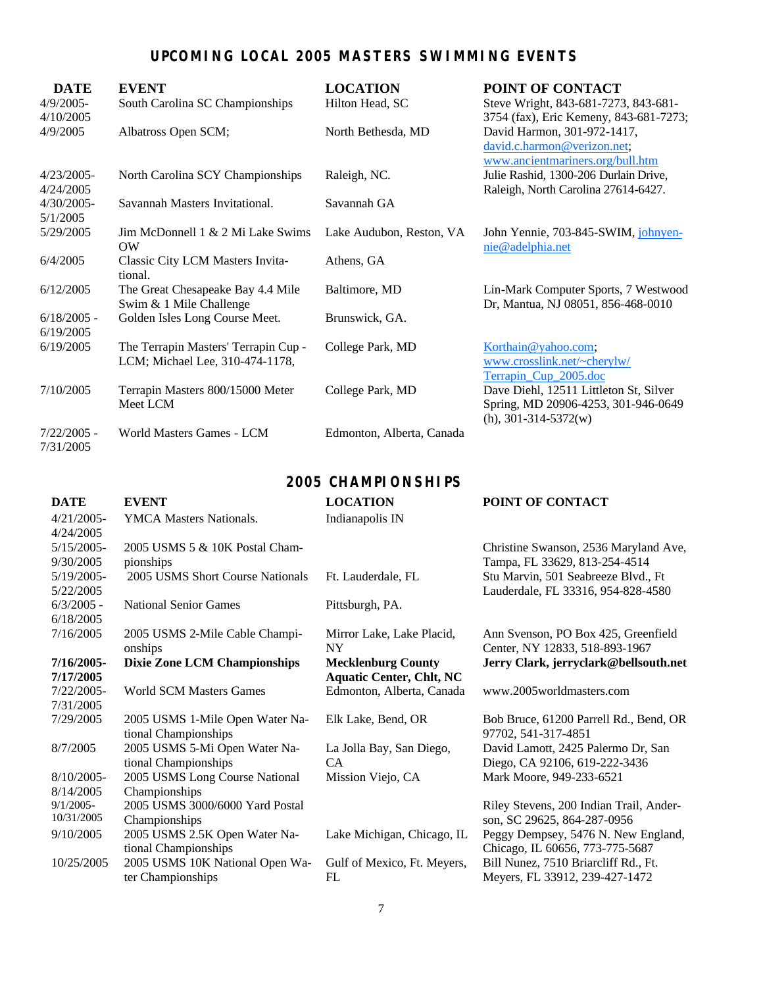## **UPCOMING LOCAL 2005 MASTERS SWIMMING EVENTS**

| <b>DATE</b>   | <b>EVENT</b>                         | <b>LOCATION</b>           | POINT OF CONTACT                       |
|---------------|--------------------------------------|---------------------------|----------------------------------------|
| $4/9/2005$ -  | South Carolina SC Championships      | Hilton Head, SC           | Steve Wright, 843-681-7273, 843-681-   |
| 4/10/2005     |                                      |                           | 3754 (fax), Eric Kemeny, 843-681-7273; |
| 4/9/2005      | Albatross Open SCM;                  | North Bethesda, MD        | David Harmon, 301-972-1417,            |
|               |                                      |                           | david.c.harmon@verizon.net;            |
|               |                                      |                           | www.ancientmariners.org/bull.htm       |
| $4/23/2005$ - | North Carolina SCY Championships     | Raleigh, NC.              | Julie Rashid, 1300-206 Durlain Drive,  |
| 4/24/2005     |                                      |                           | Raleigh, North Carolina 27614-6427.    |
| $4/30/2005$ - | Savannah Masters Invitational.       | Savannah GA               |                                        |
| 5/1/2005      |                                      |                           |                                        |
| 5/29/2005     | Jim McDonnell 1 & 2 Mi Lake Swims    | Lake Audubon, Reston, VA  | John Yennie, 703-845-SWIM, johnyen-    |
|               | OW                                   |                           | nie@adelphia.net                       |
| 6/4/2005      | Classic City LCM Masters Invita-     | Athens, GA                |                                        |
|               | tional.                              |                           |                                        |
| 6/12/2005     | The Great Chesapeake Bay 4.4 Mile    | Baltimore, MD             | Lin-Mark Computer Sports, 7 Westwood   |
|               | Swim & 1 Mile Challenge              |                           | Dr, Mantua, NJ 08051, 856-468-0010     |
| $6/18/2005$ - | Golden Isles Long Course Meet.       | Brunswick, GA.            |                                        |
| 6/19/2005     |                                      |                           |                                        |
| 6/19/2005     | The Terrapin Masters' Terrapin Cup - | College Park, MD          | Korthain@yahoo.com;                    |
|               | LCM; Michael Lee, 310-474-1178,      |                           | www.crosslink.net/~cherylw/            |
|               |                                      |                           | Terrapin_Cup_2005.doc                  |
| 7/10/2005     | Terrapin Masters 800/15000 Meter     | College Park, MD          | Dave Diehl, 12511 Littleton St, Silver |
|               | Meet LCM                             |                           | Spring, MD 20906-4253, 301-946-0649    |
|               |                                      |                           | $(h), 301-314-5372(w)$                 |
| $7/22/2005$ - | World Masters Games - LCM            | Edmonton, Alberta, Canada |                                        |
| 7/31/2005     |                                      |                           |                                        |
|               |                                      |                           |                                        |
|               |                                      | 2005 CHAMPLONSHIPS        |                                        |

 **2005 CHAMPIONSHIPS**

| <b>DATE</b>   | <b>EVENT</b>                        | <b>LOCATION</b>                 | POINT OF CONTACT                        |
|---------------|-------------------------------------|---------------------------------|-----------------------------------------|
| $4/21/2005$ - | <b>YMCA Masters Nationals.</b>      | Indianapolis IN                 |                                         |
| 4/24/2005     |                                     |                                 |                                         |
| $5/15/2005$ - | 2005 USMS 5 & 10K Postal Cham-      |                                 | Christine Swanson, 2536 Maryland Ave,   |
| 9/30/2005     | pionships                           |                                 | Tampa, FL 33629, 813-254-4514           |
| $5/19/2005$ - | 2005 USMS Short Course Nationals    | Ft. Lauderdale, FL              | Stu Marvin, 501 Seabreeze Blvd., Ft     |
| 5/22/2005     |                                     |                                 | Lauderdale, FL 33316, 954-828-4580      |
| $6/3/2005$ -  | <b>National Senior Games</b>        | Pittsburgh, PA.                 |                                         |
| 6/18/2005     |                                     |                                 |                                         |
| 7/16/2005     | 2005 USMS 2-Mile Cable Champi-      | Mirror Lake, Lake Placid,       | Ann Svenson, PO Box 425, Greenfield     |
|               | onships                             | NY.                             | Center, NY 12833, 518-893-1967          |
| 7/16/2005-    | <b>Dixie Zone LCM Championships</b> | <b>Mecklenburg County</b>       | Jerry Clark, jerryclark@bellsouth.net   |
| 7/17/2005     |                                     | <b>Aquatic Center, Chlt, NC</b> |                                         |
| $7/22/2005$ - | <b>World SCM Masters Games</b>      | Edmonton, Alberta, Canada       | www.2005worldmasters.com                |
| 7/31/2005     |                                     |                                 |                                         |
| 7/29/2005     | 2005 USMS 1-Mile Open Water Na-     | Elk Lake, Bend, OR              | Bob Bruce, 61200 Parrell Rd., Bend, OR  |
|               | tional Championships                |                                 | 97702, 541-317-4851                     |
| 8/7/2005      | 2005 USMS 5-Mi Open Water Na-       | La Jolla Bay, San Diego,        | David Lamott, 2425 Palermo Dr, San      |
|               | tional Championships                | <b>CA</b>                       | Diego, CA 92106, 619-222-3436           |
| $8/10/2005$ - | 2005 USMS Long Course National      | Mission Viejo, CA               | Mark Moore, 949-233-6521                |
| 8/14/2005     | Championships                       |                                 |                                         |
| $9/1/2005$ -  | 2005 USMS 3000/6000 Yard Postal     |                                 | Riley Stevens, 200 Indian Trail, Ander- |
| 10/31/2005    | Championships                       |                                 | son, SC 29625, 864-287-0956             |
| 9/10/2005     | 2005 USMS 2.5K Open Water Na-       | Lake Michigan, Chicago, IL      | Peggy Dempsey, 5476 N. New England,     |
|               | tional Championships                |                                 | Chicago, IL 60656, 773-775-5687         |
| 10/25/2005    | 2005 USMS 10K National Open Wa-     | Gulf of Mexico, Ft. Meyers,     | Bill Nunez, 7510 Briarcliff Rd., Ft.    |
|               | ter Championships                   | FL                              | Meyers, FL 33912, 239-427-1472          |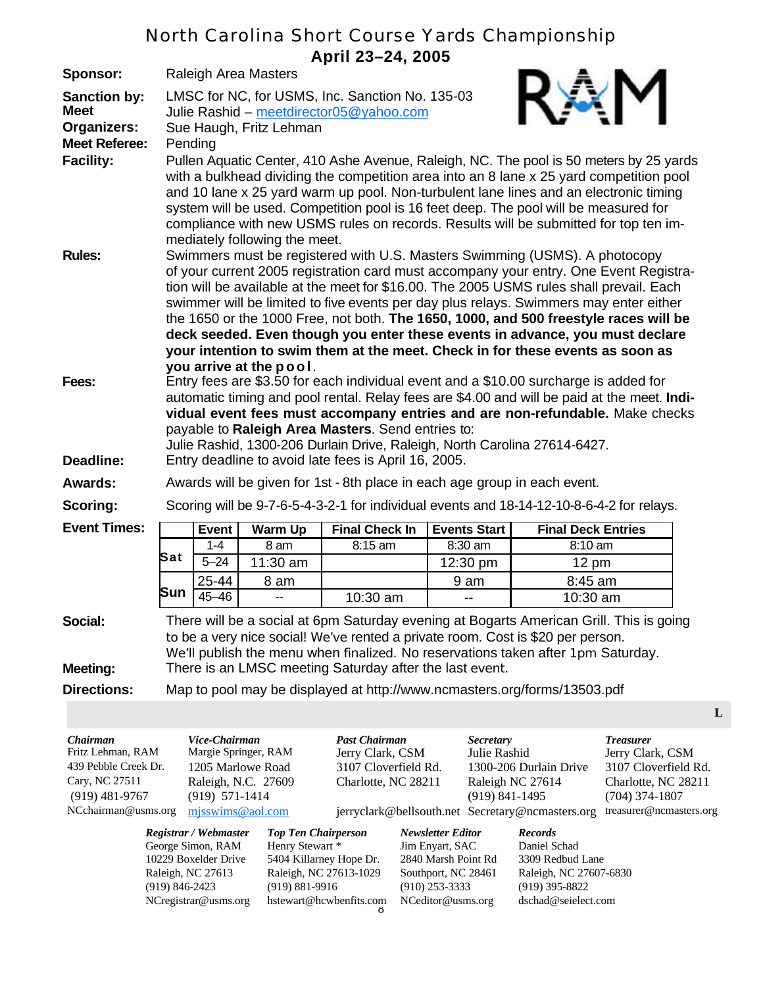# North Carolina Short Course Yards Championship

| April 23-24, 2005                                                                              |                                                                                                                                                                                                                                                                                                                                                                                                                                                                                                                                                                                                                  |              |                |                                                                           |                     |                                                                                           |  |  |  |
|------------------------------------------------------------------------------------------------|------------------------------------------------------------------------------------------------------------------------------------------------------------------------------------------------------------------------------------------------------------------------------------------------------------------------------------------------------------------------------------------------------------------------------------------------------------------------------------------------------------------------------------------------------------------------------------------------------------------|--------------|----------------|---------------------------------------------------------------------------|---------------------|-------------------------------------------------------------------------------------------|--|--|--|
| Sponsor:                                                                                       | Raleigh Area Masters                                                                                                                                                                                                                                                                                                                                                                                                                                                                                                                                                                                             |              |                |                                                                           |                     |                                                                                           |  |  |  |
| <b>Sanction by:</b><br><b>Meet</b><br><b>Organizers:</b><br><b>Meet Referee:</b>               | LMSC for NC, for USMS, Inc. Sanction No. 135-03<br>Julie Rashid - meetdirector05@yahoo.com<br>Sue Haugh, Fritz Lehman<br>Pending                                                                                                                                                                                                                                                                                                                                                                                                                                                                                 |              |                |                                                                           |                     |                                                                                           |  |  |  |
| <b>Facility:</b>                                                                               | Pullen Aquatic Center, 410 Ashe Avenue, Raleigh, NC. The pool is 50 meters by 25 yards<br>with a bulkhead dividing the competition area into an 8 lane x 25 yard competition pool<br>and 10 lane x 25 yard warm up pool. Non-turbulent lane lines and an electronic timing<br>system will be used. Competition pool is 16 feet deep. The pool will be measured for<br>compliance with new USMS rules on records. Results will be submitted for top ten im-<br>mediately following the meet.                                                                                                                      |              |                |                                                                           |                     |                                                                                           |  |  |  |
| <b>Rules:</b>                                                                                  | Swimmers must be registered with U.S. Masters Swimming (USMS). A photocopy<br>of your current 2005 registration card must accompany your entry. One Event Registra-<br>tion will be available at the meet for \$16.00. The 2005 USMS rules shall prevail. Each<br>swimmer will be limited to five events per day plus relays. Swimmers may enter either<br>the 1650 or the 1000 Free, not both. The 1650, 1000, and 500 freestyle races will be<br>deck seeded. Even though you enter these events in advance, you must declare<br>your intention to swim them at the meet. Check in for these events as soon as |              |                |                                                                           |                     |                                                                                           |  |  |  |
| Fees:                                                                                          | you arrive at the pool.<br>Entry fees are \$3.50 for each individual event and a \$10.00 surcharge is added for<br>automatic timing and pool rental. Relay fees are \$4.00 and will be paid at the meet. Indi-<br>vidual event fees must accompany entries and are non-refundable. Make checks<br>payable to Raleigh Area Masters. Send entries to:<br>Julie Rashid, 1300-206 Durlain Drive, Raleigh, North Carolina 27614-6427.                                                                                                                                                                                 |              |                |                                                                           |                     |                                                                                           |  |  |  |
| Deadline:                                                                                      |                                                                                                                                                                                                                                                                                                                                                                                                                                                                                                                                                                                                                  |              |                | Entry deadline to avoid late fees is April 16, 2005.                      |                     |                                                                                           |  |  |  |
| <b>Awards:</b>                                                                                 |                                                                                                                                                                                                                                                                                                                                                                                                                                                                                                                                                                                                                  |              |                | Awards will be given for 1st - 8th place in each age group in each event. |                     |                                                                                           |  |  |  |
| Scoring:                                                                                       |                                                                                                                                                                                                                                                                                                                                                                                                                                                                                                                                                                                                                  |              |                |                                                                           |                     | Scoring will be 9-7-6-5-4-3-2-1 for individual events and 18-14-12-10-8-6-4-2 for relays. |  |  |  |
| <b>Event Times:</b>                                                                            |                                                                                                                                                                                                                                                                                                                                                                                                                                                                                                                                                                                                                  | <b>Event</b> | <b>Warm Up</b> | <b>Final Check In</b>                                                     | <b>Events Start</b> | <b>Final Deck Entries</b>                                                                 |  |  |  |
|                                                                                                |                                                                                                                                                                                                                                                                                                                                                                                                                                                                                                                                                                                                                  | $1 - 4$      | 8 am           | 8:15 am                                                                   | 8:30 am             | 8:10 am                                                                                   |  |  |  |
|                                                                                                | Sat                                                                                                                                                                                                                                                                                                                                                                                                                                                                                                                                                                                                              | $5 - 24$     | 11:30 am       |                                                                           | 12:30 pm            | $12 \text{ pm}$                                                                           |  |  |  |
|                                                                                                | Sun                                                                                                                                                                                                                                                                                                                                                                                                                                                                                                                                                                                                              | 25-44        | 8 am           |                                                                           | 9 am                | 8:45 am                                                                                   |  |  |  |
|                                                                                                |                                                                                                                                                                                                                                                                                                                                                                                                                                                                                                                                                                                                                  | $45 - 46$    | --             | 10:30 am                                                                  | --                  | 10:30 am                                                                                  |  |  |  |
| Social:                                                                                        | There will be a social at 6pm Saturday evening at Bogarts American Grill. This is going<br>to be a very nice social! We've rented a private room. Cost is \$20 per person.<br>We'll publish the menu when finalized. No reservations taken after 1pm Saturday.                                                                                                                                                                                                                                                                                                                                                   |              |                |                                                                           |                     |                                                                                           |  |  |  |
| <b>Meeting:</b>                                                                                | There is an LMSC meeting Saturday after the last event.                                                                                                                                                                                                                                                                                                                                                                                                                                                                                                                                                          |              |                |                                                                           |                     |                                                                                           |  |  |  |
| <b>Directions:</b><br>Map to pool may be displayed at http://www.ncmasters.org/forms/13503.pdf |                                                                                                                                                                                                                                                                                                                                                                                                                                                                                                                                                                                                                  |              |                |                                                                           |                     |                                                                                           |  |  |  |
|                                                                                                |                                                                                                                                                                                                                                                                                                                                                                                                                                                                                                                                                                                                                  |              |                |                                                                           |                     |                                                                                           |  |  |  |

| Chairman             | Vice-Chairman                        |                            | <b>Past Chairman</b> |                          | <b>Secretary</b>                                 |                | <b>Treasurer</b>        |
|----------------------|--------------------------------------|----------------------------|----------------------|--------------------------|--------------------------------------------------|----------------|-------------------------|
| Fritz Lehman, RAM    | Margie Springer, RAM                 |                            | Jerry Clark, CSM     |                          | Julie Rashid                                     |                | Jerry Clark, CSM        |
| 439 Pebble Creek Dr. | 1205 Marlowe Road                    |                            | 3107 Cloverfield Rd. |                          | 1300-206 Durlain Drive                           |                | 3107 Cloverfield Rd.    |
| Cary, NC 27511       | Raleigh, N.C. 27609                  |                            | Charlotte, NC 28211  |                          | Raleigh NC 27614                                 |                | Charlotte, NC 28211     |
| $(919)$ 481-9767     | $(919)$ 571-1414                     |                            |                      |                          | $(919)$ 841-1495                                 |                | $(704)$ 374-1807        |
| NCchairman@usms.org  | mjsswims@aol.com                     |                            |                      |                          | jerryclark@bellsouth.net Secretary@ncmasters.org |                | treasurer@ncmasters.org |
|                      | Registrar / Webmaster                | <b>Top Ten Chairperson</b> |                      | <b>Newsletter Editor</b> |                                                  | <b>Records</b> |                         |
|                      | George Simon, RAM<br>Henry Stewart * |                            | Jim Enyart, SAC      |                          |                                                  | Daniel Schad   |                         |

 $\delta$ 10229 Boxelder Drive 5404 Killarney Hope Dr. 2840 Marsh Point Rd 3309 Redbud Lane Raleigh, NC 27613 Raleigh, NC 27613-1029 Southport, NC 28461 Raleigh, NC 27607-6830 (919) 846-2423 (919) 881-9916 (910) 253-3333 (919) 395-8822 NCregistrar@usms.org hstewart@hcwbenfits.com NCeditor@usms.org dschad@seielect.com